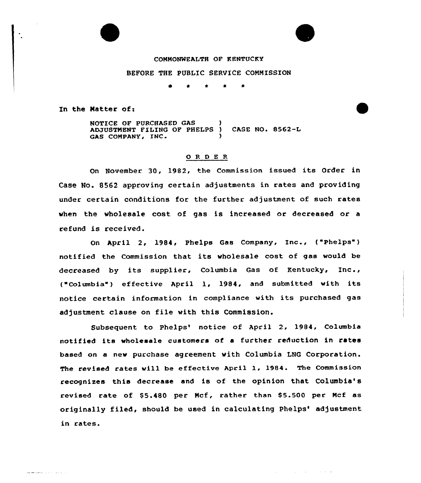## COMMONWEALTH OF KENTUCKY

iF

ساسا والمناور والأرادي

## BEFORE THE PUBLIC SERVICE COMMISSION

e 0 <sup>4</sup> <sup>4</sup> \*

In the Matter of:

<u>ala alaman di serie di serie di s</u>

NOTICE OF PURCHASED GAS ) ADJUSTMENT FILING OF PHELPS ) CASE NO. 8562-L GAS COMPANY, INC.

## 0 <sup>R</sup> <sup>D</sup> <sup>E</sup> <sup>R</sup>

On November 30, 1982, the Commission issued its Order in Case No. 8562 approving certain adjustments in rates and providing under certain conditions for the further adjustment of such rates when the wholesale cost of gas is increased or decreased or a refund is received.

On April 2, 1984, Phelps Gas Company, Inc., ("Phelps") notified the Commission that its wholesale cost of gas would be decreased by its supplier, Columbia Gas of Kentucky, Inc., ( Columbia" ) effective April 1, 1984, and submitted with its notice certain information in compliance with its purchased gas adjustment clause on file with this Commission.

Subsequent to Phelps' notice of April 2, 1984, Columbia notified its wholesale customers of <sup>a</sup> further reduction in rates based on a new purchase agreement with Columbia LNQ Corporation. The revised rates vill be effective April 1, 1984. The Commission recognizes this decrease and is of the opinion that Columbia' revised rate of \$5.480 per Mcf, rather than \$5.500 per Mcf as originally filed, should be used in calculating Phelps'djustment in rates.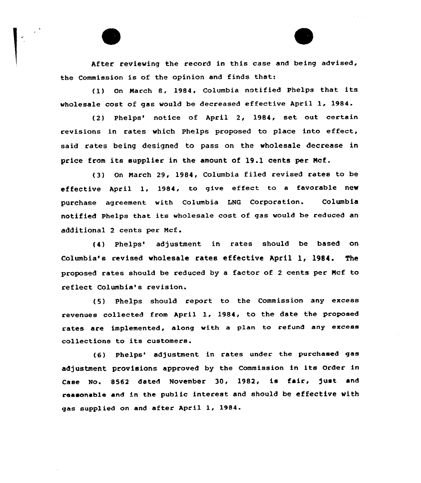After reviewing the record in this case and being advised, the Commission is of the opinion and finds that:

(1} On March &, 1984, Co1umbia notified Phelps that its wholesale cost of gas would be decreased effective April 1, 1984.

(2) Phelps' notice of April 2, 1984, set out certain revisions in rates which Phelps proposed to place into effect, said rates being designed to pass on the wholesale decrease in price from its supplier in the amount of 19.1 cents per Mcf.

(3} On March 29, 1984, Columbia filed revised rates to be effective April 1, 1984, to give effect to <sup>a</sup> favorable new purchase agreement with Columbia LNG Corporation. Columbia notified Phelps that its wholesale cost of gas would be reduced an additional <sup>2</sup> cents per Mcf.

(4) Phelps'djustment in rates should be based on Columbia's revised wholesale rates effective April 1, 1984. The proposed rates should be reduced by a factor of <sup>2</sup> cents per Mcf to reflect Columbia's revision.

(5) Phelps should report to the Commission any excess revenues collected from Apri1 1, 1984, to the date the proposed rates are implemented, along with a plan to refund any excess collections to its customers.

(6) Phelps' adjustment in rates under the purchased gas adjustment provisions approved by the Commission in its order in Case No. 8562 dated November 30, 1982, is fair, just and reasonable and in the public interest and should be effective with gas supplied on and after April 1, 1984.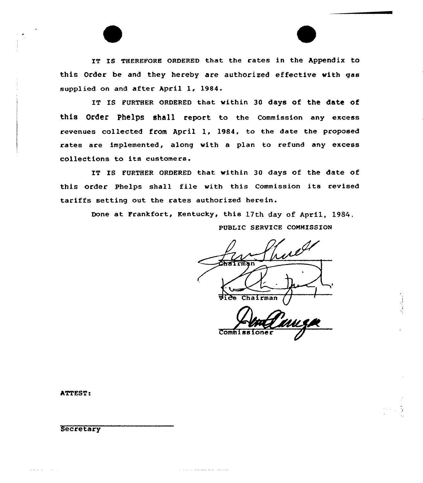IT Is THEREFoRE oRDERED that the rates in the Appendix to this Order be and they hereby are authorized effective with gas supplied on and after April 1, 1984.

IT Is FURTHER QRDERED that within 30 days of the date of this Order phelps shall report to the Commission any excess revenues collected from April 1, 1984, to the date the proposed rates are implemented, along with a plan to refund any excess collections to its customers.

IT IS FURTHER ORDERED that within 30 days of the date of this order Phelps shall file with this Commission its revised tariffs setting out the rates authorized herein.

والمراكب المراكب كالمستحدث والمراكبات

Done at Frankfort, Kentucky, this 17th day of April, 1984. PUBLIC SERVICE COMMISSION

vice Chairman

Commiss

ATTEST:

Secretary

a provincial control